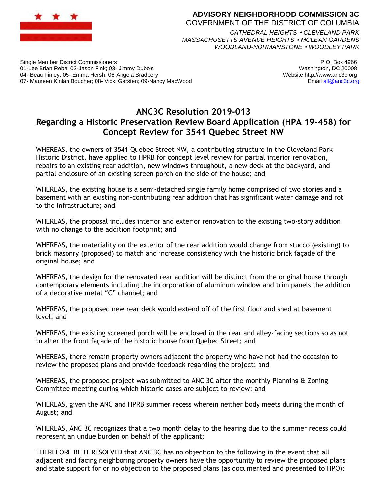

## **ADVISORY NEIGHBORHOOD COMMISSION 3C** GOVERNMENT OF THE DISTRICT OF COLUMBIA *CATHEDRAL HEIGHTS CLEVELAND PARK*

*MASSACHUSETTS AVENUE HEIGHTS MCLEAN GARDENS WOODLAND-NORMANSTONE WOODLEY PARK*

Single Member District Commissioners 01-Lee Brian Reba; 02-Jason Fink; 03- Jimmy Dubois 04- Beau Finley; 05- Emma Hersh; 06-Angela Bradbery 07- Maureen Kinlan Boucher; 08- Vicki Gersten; 09-Nancy MacWood

P.O. Box 4966 Washington, DC 20008 Website http://www.anc3c.org Email all@anc3c.org

## **ANC3C Resolution 2019-013 Regarding a Historic Preservation Review Board Application (HPA 19-458) for Concept Review for 3541 Quebec Street NW**

WHEREAS, the owners of 3541 Quebec Street NW, a contributing structure in the Cleveland Park Historic District, have applied to HPRB for concept level review for partial interior renovation, repairs to an existing rear addition, new windows throughout, a new deck at the backyard, and partial enclosure of an existing screen porch on the side of the house; and

WHEREAS, the existing house is a semi-detached single family home comprised of two stories and a basement with an existing non-contributing rear addition that has significant water damage and rot to the infrastructure; and

WHEREAS, the proposal includes interior and exterior renovation to the existing two-story addition with no change to the addition footprint; and

WHEREAS, the materiality on the exterior of the rear addition would change from stucco (existing) to brick masonry (proposed) to match and increase consistency with the historic brick façade of the original house; and

WHEREAS, the design for the renovated rear addition will be distinct from the original house through contemporary elements including the incorporation of aluminum window and trim panels the addition of a decorative metal "C" channel; and

WHEREAS, the proposed new rear deck would extend off of the first floor and shed at basement level; and

WHEREAS, the existing screened porch will be enclosed in the rear and alley-facing sections so as not to alter the front façade of the historic house from Quebec Street; and

WHEREAS, there remain property owners adjacent the property who have not had the occasion to review the proposed plans and provide feedback regarding the project; and

WHEREAS, the proposed project was submitted to ANC 3C after the monthly Planning & Zoning Committee meeting during which historic cases are subject to review; and

WHEREAS, given the ANC and HPRB summer recess wherein neither body meets during the month of August; and

WHEREAS, ANC 3C recognizes that a two month delay to the hearing due to the summer recess could represent an undue burden on behalf of the applicant;

THEREFORE BE IT RESOLVED that ANC 3C has no objection to the following in the event that all adjacent and facing neighboring property owners have the opportunity to review the proposed plans and state support for or no objection to the proposed plans (as documented and presented to HPO):